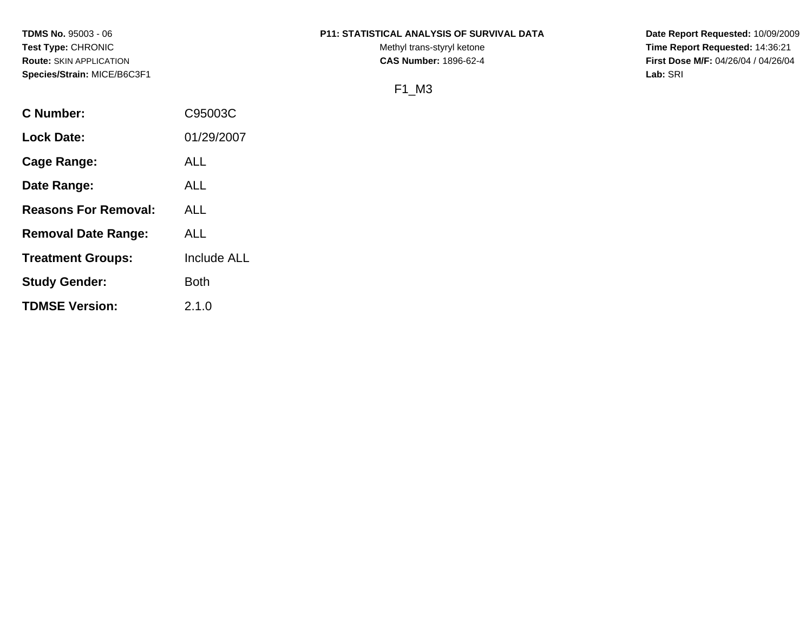# **TDMS No.** 95003 - 06 **P11: STATISTICAL ANALYSIS OF SURVIVAL DATA Date Report Requested:** 10/09/2009

**Test Type:** CHRONIC **Trans-styryl ketone** Methyl trans-styryl ketone **Time Report Requested:** 14:36:21 **Route:** SKIN APPLICATION **CAS Number:** 1896-62-4 **First Dose M/F:** 04/26/04 / 04/26/04

F1\_M3

| C Number:                   | C95003C            |
|-----------------------------|--------------------|
| <b>Lock Date:</b>           | 01/29/2007         |
| Cage Range:                 | ALL                |
| Date Range:                 | ALL                |
| <b>Reasons For Removal:</b> | ALL.               |
| <b>Removal Date Range:</b>  | ALL                |
| <b>Treatment Groups:</b>    | <b>Include ALL</b> |
| <b>Study Gender:</b>        | Both               |
| <b>TDMSE Version:</b>       | 2.1.0              |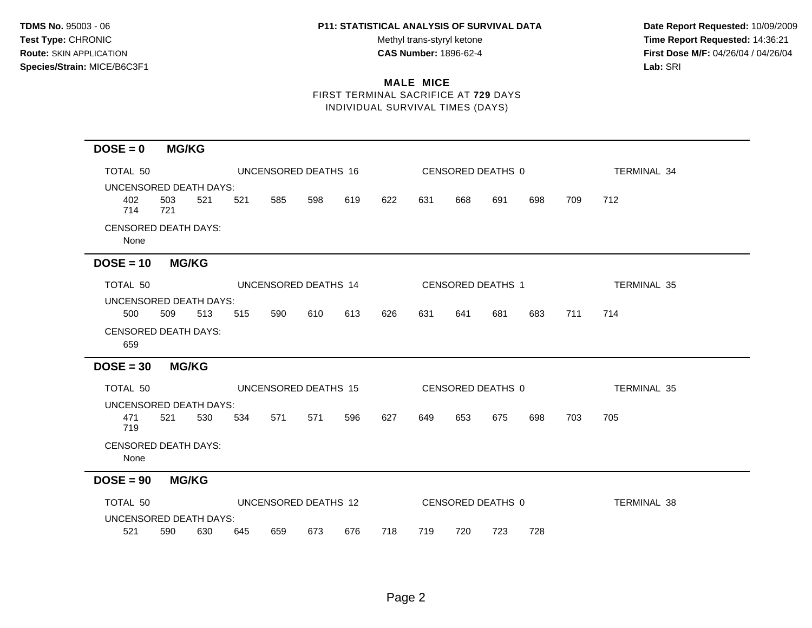Test Type: CHRONIC **Test Type:** CHRONIC **Test Type:** CHRONIC **Time Report Requested:** 14:36:21 **Route:** SKIN APPLICATION **CAS Number:** 1896-62-4 **First Dose M/F:** 04/26/04 / 04/26/04

# **MALE MICE**

FIRST TERMINAL SACRIFICE AT **729** DAYS INDIVIDUAL SURVIVAL TIMES (DAYS)

| $DOSE = 0$                           |            | <b>MG/KG</b> |     |                      |     |     |     |                   |     |                   |     |     |                    |  |
|--------------------------------------|------------|--------------|-----|----------------------|-----|-----|-----|-------------------|-----|-------------------|-----|-----|--------------------|--|
| TOTAL 50                             |            |              |     | UNCENSORED DEATHS 16 |     |     |     |                   |     | CENSORED DEATHS 0 |     |     | <b>TERMINAL 34</b> |  |
| UNCENSORED DEATH DAYS:               |            |              |     |                      |     |     |     |                   |     |                   |     |     |                    |  |
| 402<br>714                           | 503<br>721 | 521          | 521 | 585                  | 598 | 619 | 622 | 631               | 668 | 691               | 698 | 709 | 712                |  |
| <b>CENSORED DEATH DAYS:</b><br>None  |            |              |     |                      |     |     |     |                   |     |                   |     |     |                    |  |
| $DOSE = 10$                          |            | <b>MG/KG</b> |     |                      |     |     |     |                   |     |                   |     |     |                    |  |
| TOTAL 50                             |            |              |     | UNCENSORED DEATHS 14 |     |     |     |                   |     | CENSORED DEATHS 1 |     |     | <b>TERMINAL 35</b> |  |
| UNCENSORED DEATH DAYS:               |            |              |     |                      |     |     |     |                   |     |                   |     |     |                    |  |
| 500                                  | 509        | 513          | 515 | 590                  | 610 | 613 | 626 | 631               | 641 | 681               | 683 | 711 | 714                |  |
| <b>CENSORED DEATH DAYS:</b><br>659   |            |              |     |                      |     |     |     |                   |     |                   |     |     |                    |  |
| $DOSE = 30$                          |            | <b>MG/KG</b> |     |                      |     |     |     |                   |     |                   |     |     |                    |  |
| TOTAL 50                             |            |              |     | UNCENSORED DEATHS 15 |     |     |     | CENSORED DEATHS 0 |     |                   |     |     | <b>TERMINAL 35</b> |  |
| UNCENSORED DEATH DAYS:<br>471<br>719 | 521        | 530          | 534 | 571                  | 571 | 596 | 627 | 649               | 653 | 675               | 698 | 703 | 705                |  |
| <b>CENSORED DEATH DAYS:</b><br>None  |            |              |     |                      |     |     |     |                   |     |                   |     |     |                    |  |
| $DOSE = 90$                          |            | <b>MG/KG</b> |     |                      |     |     |     |                   |     |                   |     |     |                    |  |
| TOTAL 50                             |            |              |     | UNCENSORED DEATHS 12 |     |     |     |                   |     | CENSORED DEATHS 0 |     |     | TERMINAL 38        |  |
| <b>UNCENSORED DEATH DAYS:</b>        |            |              |     |                      |     |     |     |                   |     |                   |     |     |                    |  |
| 521                                  | 590        | 630          | 645 | 659                  | 673 | 676 | 718 | 719               | 720 | 723               | 728 |     |                    |  |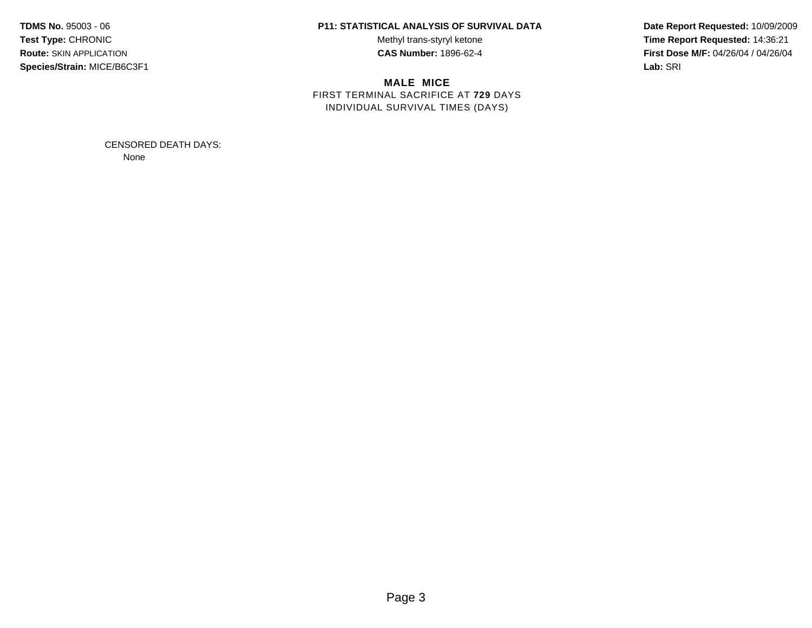# **TDMS No.** 95003 - 06 **P11: STATISTICAL ANALYSIS OF SURVIVAL DATA Date Report Requested:** 10/09/2009

**MALE MICE** FIRST TERMINAL SACRIFICE AT **729** DAYS INDIVIDUAL SURVIVAL TIMES (DAYS)

Test Type: CHRONIC **Test Type:** CHRONIC **Test Type:** CHRONIC **Time Report Requested:** 14:36:21 **Route:** SKIN APPLICATION **CAS Number:** 1896-62-4 **First Dose M/F:** 04/26/04 / 04/26/04

> CENSORED DEATH DAYS: None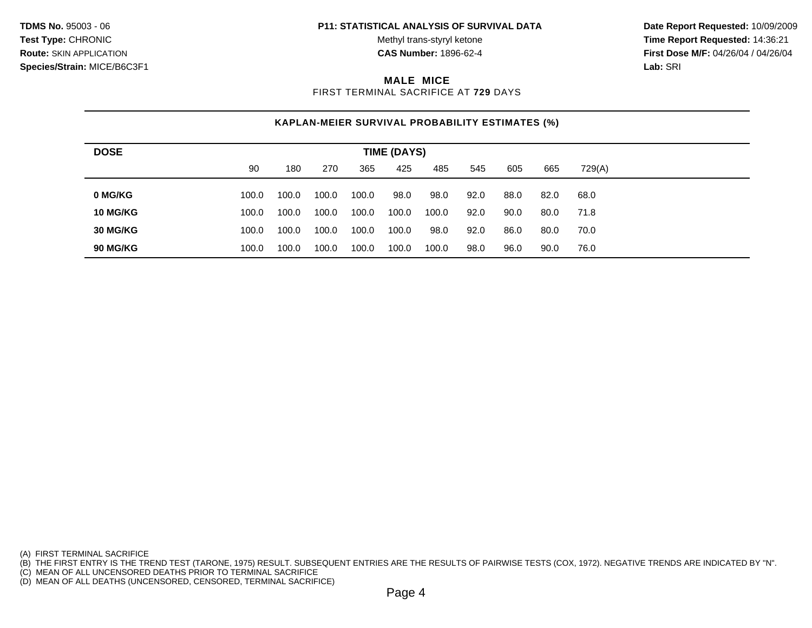**Test Type:** CHRONIC **The Report Requested:** 14:36:21 **Route:** SKIN APPLICATION **CAS Number:** 1896-62-4 **First Dose M/F:** 04/26/04 / 04/26/04

#### **MALE MICE**

FIRST TERMINAL SACRIFICE AT **729** DAYS

# **KAPLAN-MEIER SURVIVAL PROBABILITY ESTIMATES (%)**

| <b>DOSE</b>     | <b>TIME (DAYS)</b> |       |       |       |       |       |      |      |      |        |  |  |
|-----------------|--------------------|-------|-------|-------|-------|-------|------|------|------|--------|--|--|
|                 | 90                 | 180   | 270   | 365   | 425   | 485   | 545  | 605  | 665  | 729(A) |  |  |
| 0 MG/KG         | 100.0              | 100.0 | 100.0 | 100.0 | 98.0  | 98.0  | 92.0 | 88.0 | 82.0 | 68.0   |  |  |
| <b>10 MG/KG</b> | 100.0              | 100.0 | 100.0 | 100.0 | 100.0 | 100.0 | 92.0 | 90.0 | 80.0 | 71.8   |  |  |
| 30 MG/KG        | 100.0              | 100.0 | 100.0 | 100.0 | 100.0 | 98.0  | 92.0 | 86.0 | 80.0 | 70.0   |  |  |
| 90 MG/KG        | 100.0              | 100.0 | 100.0 | 100.0 | 100.0 | 100.0 | 98.0 | 96.0 | 90.0 | 76.0   |  |  |

(A) FIRST TERMINAL SACRIFICE

(B) THE FIRST ENTRY IS THE TREND TEST (TARONE, 1975) RESULT. SUBSEQUENT ENTRIES ARE THE RESULTS OF PAIRWISE TESTS (COX, 1972). NEGATIVE TRENDS ARE INDICATED BY "N".

(C) MEAN OF ALL UNCENSORED DEATHS PRIOR TO TERMINAL SACRIFICE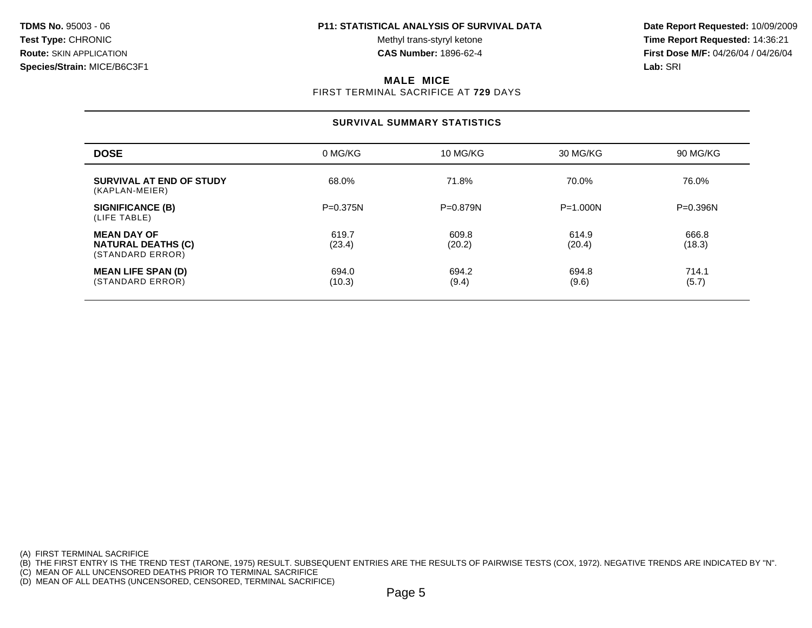**Test Type:** CHRONIC **The Report Requested:** 14:36:21 **Route:** SKIN APPLICATION **CAS Number:** 1896-62-4 **First Dose M/F:** 04/26/04 / 04/26/04

#### **MALE MICE**

FIRST TERMINAL SACRIFICE AT **729** DAYS

#### **SURVIVAL SUMMARY STATISTICS**

| <b>DOSE</b>                                                         | 0 MG/KG         | 10 MG/KG        | 30 MG/KG        | 90 MG/KG        |
|---------------------------------------------------------------------|-----------------|-----------------|-----------------|-----------------|
| SURVIVAL AT END OF STUDY<br>(KAPLAN-MEIER)                          | 68.0%           | 71.8%           | 70.0%           | 76.0%           |
| <b>SIGNIFICANCE (B)</b><br>(LIFE TABLE)                             | $P = 0.375N$    | $P = 0.879N$    | $P = 1.000N$    | $P = 0.396N$    |
| <b>MEAN DAY OF</b><br><b>NATURAL DEATHS (C)</b><br>(STANDARD ERROR) | 619.7<br>(23.4) | 609.8<br>(20.2) | 614.9<br>(20.4) | 666.8<br>(18.3) |
| <b>MEAN LIFE SPAN (D)</b><br>(STANDARD ERROR)                       | 694.0<br>(10.3) | 694.2<br>(9.4)  | 694.8<br>(9.6)  | 714.1<br>(5.7)  |

(A) FIRST TERMINAL SACRIFICE

(B) THE FIRST ENTRY IS THE TREND TEST (TARONE, 1975) RESULT. SUBSEQUENT ENTRIES ARE THE RESULTS OF PAIRWISE TESTS (COX, 1972). NEGATIVE TRENDS ARE INDICATED BY "N".

(C) MEAN OF ALL UNCENSORED DEATHS PRIOR TO TERMINAL SACRIFICE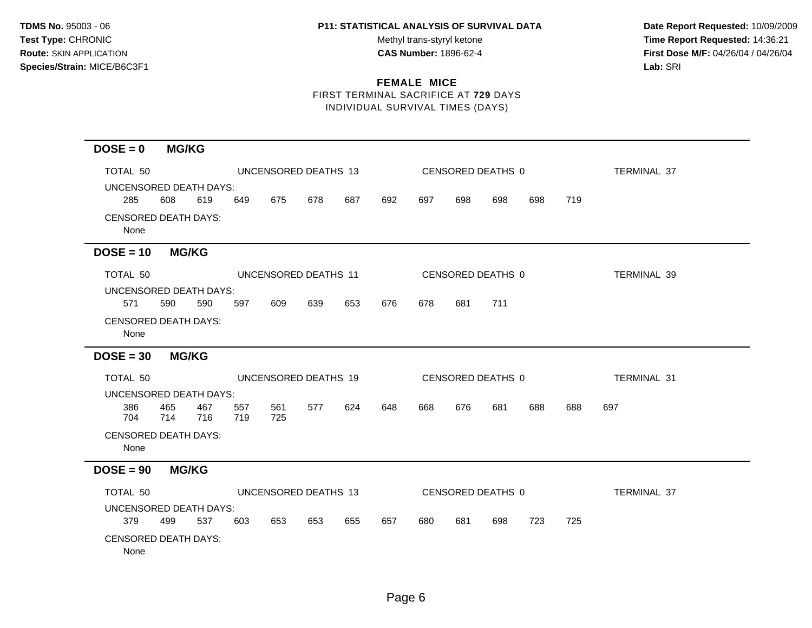Test Type: CHRONIC **Test Type:** CHRONIC **Test Type:** CHRONIC **Time Report Requested:** 14:36:21 **Route:** SKIN APPLICATION **CAS Number:** 1896-62-4 **First Dose M/F:** 04/26/04 / 04/26/04

# **FEMALE MICE** FIRST TERMINAL SACRIFICE AT **729** DAYS

INDIVIDUAL SURVIVAL TIMES (DAYS)

| $DOSE = 0$                          | <b>MG/KG</b> |            |            |                      |     |     |     |     |     |                   |     |     |                    |
|-------------------------------------|--------------|------------|------------|----------------------|-----|-----|-----|-----|-----|-------------------|-----|-----|--------------------|
| TOTAL 50                            |              |            |            | UNCENSORED DEATHS 13 |     |     |     |     |     | CENSORED DEATHS 0 |     |     | <b>TERMINAL 37</b> |
| UNCENSORED DEATH DAYS:              |              |            |            |                      |     |     |     |     |     |                   |     |     |                    |
| 285                                 | 608          | 619        | 649        | 675                  | 678 | 687 | 692 | 697 | 698 | 698               | 698 | 719 |                    |
| <b>CENSORED DEATH DAYS:</b><br>None |              |            |            |                      |     |     |     |     |     |                   |     |     |                    |
| $DOSE = 10$                         | <b>MG/KG</b> |            |            |                      |     |     |     |     |     |                   |     |     |                    |
| TOTAL 50                            |              |            |            | UNCENSORED DEATHS 11 |     |     |     |     |     | CENSORED DEATHS 0 |     |     | TERMINAL 39        |
| UNCENSORED DEATH DAYS:              |              |            |            |                      |     |     |     |     |     |                   |     |     |                    |
| 571                                 | 590          | 590        | 597        | 609                  | 639 | 653 | 676 | 678 | 681 | 711               |     |     |                    |
| <b>CENSORED DEATH DAYS:</b><br>None |              |            |            |                      |     |     |     |     |     |                   |     |     |                    |
| $DOSE = 30$                         | <b>MG/KG</b> |            |            |                      |     |     |     |     |     |                   |     |     |                    |
| TOTAL 50                            |              |            |            | UNCENSORED DEATHS 19 |     |     |     |     |     | CENSORED DEATHS 0 |     |     | TERMINAL 31        |
| UNCENSORED DEATH DAYS:              |              |            |            |                      |     |     |     |     |     |                   |     |     |                    |
| 386<br>704                          | 465<br>714   | 467<br>716 | 557<br>719 | 561<br>725           | 577 | 624 | 648 | 668 | 676 | 681               | 688 | 688 | 697                |
| <b>CENSORED DEATH DAYS:</b><br>None |              |            |            |                      |     |     |     |     |     |                   |     |     |                    |
| $DOSE = 90$                         | <b>MG/KG</b> |            |            |                      |     |     |     |     |     |                   |     |     |                    |
| TOTAL 50                            |              |            |            | UNCENSORED DEATHS 13 |     |     |     |     |     | CENSORED DEATHS 0 |     |     | <b>TERMINAL 37</b> |
| UNCENSORED DEATH DAYS:              |              |            |            |                      |     |     |     |     |     |                   |     |     |                    |
| 379                                 | 499          | 537        | 603        | 653                  | 653 | 655 | 657 | 680 | 681 | 698               | 723 | 725 |                    |
| <b>CENSORED DEATH DAYS:</b><br>None |              |            |            |                      |     |     |     |     |     |                   |     |     |                    |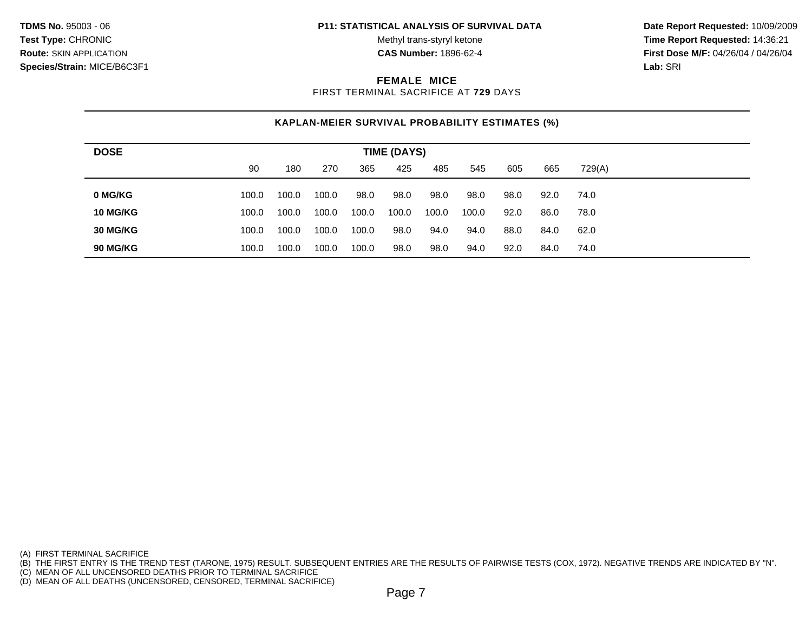**Test Type:** CHRONIC **The Report Requested:** 14:36:21 **Route:** SKIN APPLICATION **CAS Number:** 1896-62-4 **First Dose M/F:** 04/26/04 / 04/26/04

#### **FEMALE MICE**

FIRST TERMINAL SACRIFICE AT **729** DAYS

# **KAPLAN-MEIER SURVIVAL PROBABILITY ESTIMATES (%)**

| <b>DOSE</b>     | <b>TIME (DAYS)</b> |       |       |       |       |       |       |      |      |        |  |
|-----------------|--------------------|-------|-------|-------|-------|-------|-------|------|------|--------|--|
|                 | 90                 | 180   | 270   | 365   | 425   | 485   | 545   | 605  | 665  | 729(A) |  |
| 0 MG/KG         | 100.0              | 100.0 | 100.0 | 98.0  | 98.0  | 98.0  | 98.0  | 98.0 | 92.0 | 74.0   |  |
|                 |                    |       |       |       |       |       |       |      |      |        |  |
| 10 MG/KG        | 100.0              | 100.0 | 100.0 | 100.0 | 100.0 | 100.0 | 100.0 | 92.0 | 86.0 | 78.0   |  |
| <b>30 MG/KG</b> | 100.0              | 100.0 | 100.0 | 100.0 | 98.0  | 94.0  | 94.0  | 88.0 | 84.0 | 62.0   |  |
| <b>90 MG/KG</b> | 100.0              | 100.0 | 100.0 | 100.0 | 98.0  | 98.0  | 94.0  | 92.0 | 84.0 | 74.0   |  |

(A) FIRST TERMINAL SACRIFICE

(B) THE FIRST ENTRY IS THE TREND TEST (TARONE, 1975) RESULT. SUBSEQUENT ENTRIES ARE THE RESULTS OF PAIRWISE TESTS (COX, 1972). NEGATIVE TRENDS ARE INDICATED BY "N".

(C) MEAN OF ALL UNCENSORED DEATHS PRIOR TO TERMINAL SACRIFICE